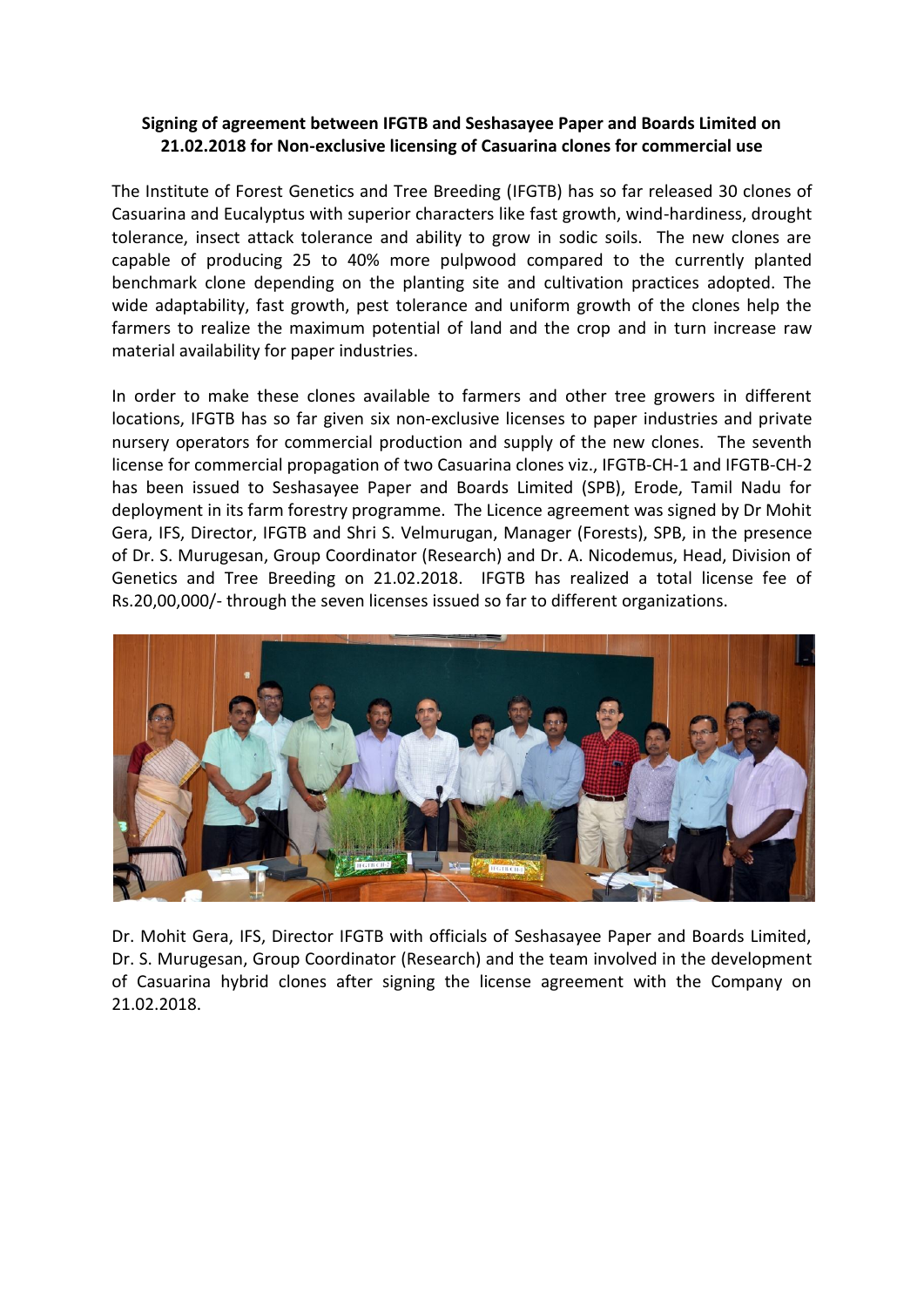## **Signing of agreement between IFGTB and Seshasayee Paper and Boards Limited on 21.02.2018 for Non-exclusive licensing of Casuarina clones for commercial use**

The Institute of Forest Genetics and Tree Breeding (IFGTB) has so far released 30 clones of Casuarina and Eucalyptus with superior characters like fast growth, wind-hardiness, drought tolerance, insect attack tolerance and ability to grow in sodic soils. The new clones are capable of producing 25 to 40% more pulpwood compared to the currently planted benchmark clone depending on the planting site and cultivation practices adopted. The wide adaptability, fast growth, pest tolerance and uniform growth of the clones help the farmers to realize the maximum potential of land and the crop and in turn increase raw material availability for paper industries.

In order to make these clones available to farmers and other tree growers in different locations, IFGTB has so far given six non-exclusive licenses to paper industries and private nursery operators for commercial production and supply of the new clones. The seventh license for commercial propagation of two Casuarina clones viz., IFGTB-CH-1 and IFGTB-CH-2 has been issued to Seshasayee Paper and Boards Limited (SPB), Erode, Tamil Nadu for deployment in its farm forestry programme. The Licence agreement was signed by Dr Mohit Gera, IFS, Director, IFGTB and Shri S. Velmurugan, Manager (Forests), SPB, in the presence of Dr. S. Murugesan, Group Coordinator (Research) and Dr. A. Nicodemus, Head, Division of Genetics and Tree Breeding on 21.02.2018. IFGTB has realized a total license fee of Rs.20,00,000/- through the seven licenses issued so far to different organizations.



Dr. Mohit Gera, IFS, Director IFGTB with officials of Seshasayee Paper and Boards Limited, Dr. S. Murugesan, Group Coordinator (Research) and the team involved in the development of Casuarina hybrid clones after signing the license agreement with the Company on 21.02.2018.